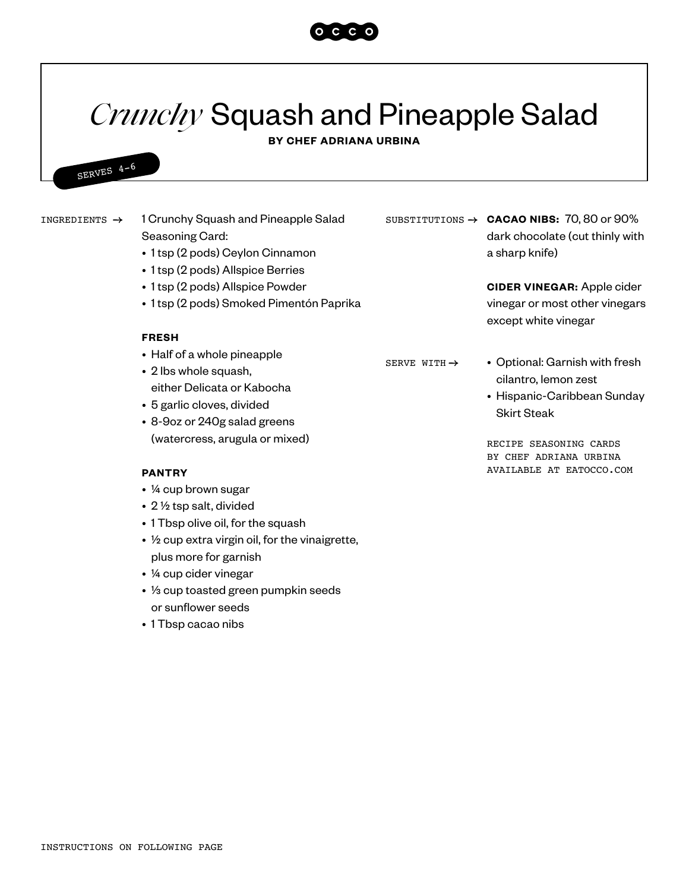

# *Crunchy* Squash and Pineapple Salad

**BY CHEF ADRIANA URBINA**

SERVES 4-<sup>6</sup>

1 Crunchy Squash and Pineapple Salad Seasoning Card: INGREDIENTS  $\rightarrow$  1 Crunchy Squash and Pineapple Salad SUBSTITUTIONS  $\rightarrow$  CACAO NIBS: 70, 80 or 90%

- 1 tsp (2 pods) Ceylon Cinnamon
- 1 tsp (2 pods) Allspice Berries
- 1 tsp (2 pods) Allspice Powder
- 1 tsp (2 pods) Smoked Pimentón Paprika

#### **FRESH**

- Half of a whole pineapple
- 2 lbs whole squash, either Delicata or Kabocha
- 5 garlic cloves, divided
- 8-9oz or 240g salad greens (watercress, arugula or mixed)

### **PANTRY**

- ¼ cup brown sugar
- 2 ½ tsp salt, divided
- 1 Tbsp olive oil, for the squash
- ½ cup extra virgin oil, for the vinaigrette, plus more for garnish
- ¼ cup cider vinegar
- ⅓ cup toasted green pumpkin seeds or sunflower seeds
- 1 Tbsp cacao nibs

dark chocolate (cut thinly with a sharp knife)

**CIDER VINEGAR:** Apple cider vinegar or most other vinegars except white vinegar

SERVE WITH  $\rightarrow$ 

- Optional: Garnish with fresh cilantro, lemon zest
- Hispanic-Caribbean Sunday Skirt Steak

RECIPE SEASONING CARDS BY CHEF ADRIANA URBINA AVAILABLE AT EATOCCO.COM